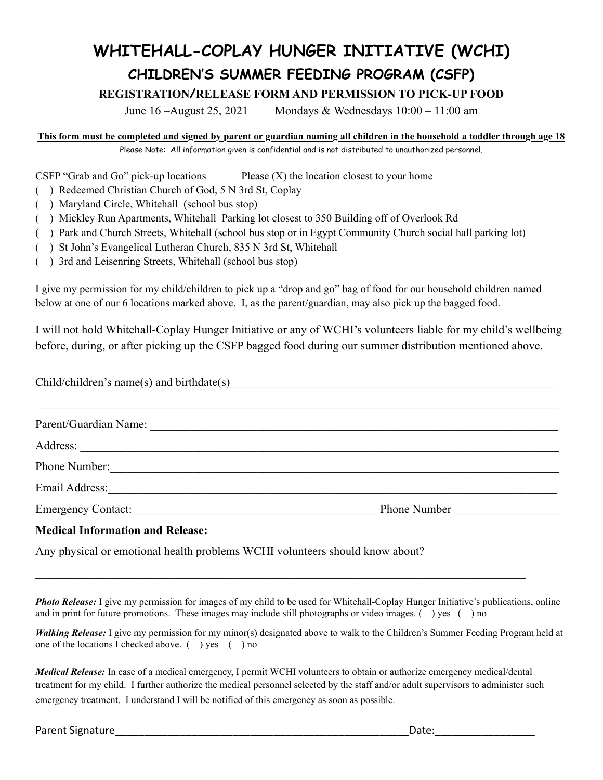## **WHITEHALL-COPLAY HUNGER INITIATIVE (WCHI) CHILDREN'S SUMMER FEEDING PROGRAM (CSFP)**

**REGISTRATION/RELEASE FORM AND PERMISSION TO PICK-UP FOOD**

June 16 –August 25, 2021 Mondays & Wednesdays  $10:00 - 11:00$  am

**This form must be completed and signed by parent or guardian naming all children in the household a toddler through age 18** Please Note: All information given is confidential and is not distributed to unauthorized personnel.

CSFP "Grab and Go" pick-up locations Please  $(X)$  the location closest to your home

- ( ) Redeemed Christian Church of God, 5 N 3rd St, Coplay
- ( ) Maryland Circle, Whitehall (school bus stop)
- ( ) Mickley Run Apartments, Whitehall Parking lot closest to 350 Building off of Overlook Rd
- ( ) Park and Church Streets, Whitehall (school bus stop or in Egypt Community Church social hall parking lot)
- ( ) St John's Evangelical Lutheran Church, 835 N 3rd St, Whitehall
- ( ) 3rd and Leisenring Streets, Whitehall (school bus stop)

I give my permission for my child/children to pick up a "drop and go" bag of food for our household children named below at one of our 6 locations marked above. I, as the parent/guardian, may also pick up the bagged food.

I will not hold Whitehall-Coplay Hunger Initiative or any of WCHI's volunteers liable for my child's wellbeing before, during, or after picking up the CSFP bagged food during our summer distribution mentioned above.

| Child/children's name(s) and birthdate(s)<br><u>Examples</u> 2014<br>2015<br>2016<br>2017<br>2018<br>2019<br>2019<br>2019<br>2019<br>2019<br>2019<br>2019<br>2019 |              |
|-------------------------------------------------------------------------------------------------------------------------------------------------------------------|--------------|
|                                                                                                                                                                   |              |
|                                                                                                                                                                   |              |
| Phone Number:                                                                                                                                                     |              |
|                                                                                                                                                                   |              |
| Emergency Contact:                                                                                                                                                | Phone Number |
| <b>Medical Information and Release:</b>                                                                                                                           |              |

Any physical or emotional health problems WCHI volunteers should know about?

*Photo Release:* I give my permission for images of my child to be used for Whitehall-Coplay Hunger Initiative's publications, online and in print for future promotions. These images may include still photographs or video images. () yes () no

 $\mathcal{L}_\mathcal{L} = \{ \mathcal{L}_\mathcal{L} = \{ \mathcal{L}_\mathcal{L} = \{ \mathcal{L}_\mathcal{L} = \{ \mathcal{L}_\mathcal{L} = \{ \mathcal{L}_\mathcal{L} = \{ \mathcal{L}_\mathcal{L} = \{ \mathcal{L}_\mathcal{L} = \{ \mathcal{L}_\mathcal{L} = \{ \mathcal{L}_\mathcal{L} = \{ \mathcal{L}_\mathcal{L} = \{ \mathcal{L}_\mathcal{L} = \{ \mathcal{L}_\mathcal{L} = \{ \mathcal{L}_\mathcal{L} = \{ \mathcal{L}_\mathcal{$ 

*Walking Release:* I give my permission for my minor(s) designated above to walk to the Children's Summer Feeding Program held at one of the locations I checked above. ( ) yes ( ) no

*Medical Release:* In case of a medical emergency, I permit WCHI volunteers to obtain or authorize emergency medical/dental treatment for my child. I further authorize the medical personnel selected by the staff and/or adult supervisors to administer such emergency treatment. I understand I will be notified of this emergency as soon as possible.